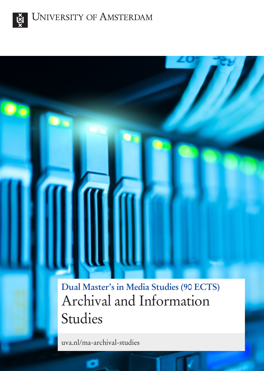

 $\overline{\mathbf{C}}$ 

 $\mathbf{O}_{\mathbf{C}}$ 

**Dual Master's in Media Studies (90 ECTS)** Archival and Information Studies

uva.nl/ma-archival-studies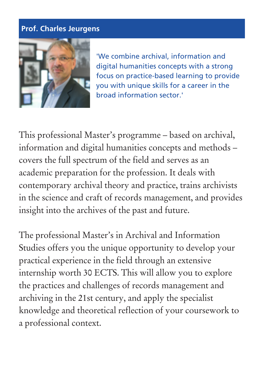### **Prof. Charles Jeurgens**



'We combine archival, information and digital humanities concepts with a strong focus on practice-based learning to provide you with unique skills for a career in the broad information sector.'

This professional Master's programme – based on archival, information and digital humanities concepts and methods – covers the full spectrum of the field and serves as an academic preparation for the profession. It deals with contemporary archival theory and practice, trains archivists in the science and craft of records management, and provides insight into the archives of the past and future.

The professional Master's in Archival and Information Studies offers you the unique opportunity to develop your practical experience in the field through an extensive internship worth 30 ECTS. This will allow you to explore the practices and challenges of records management and archiving in the 21st century, and apply the specialist knowledge and theoretical reflection of your coursework to a professional context.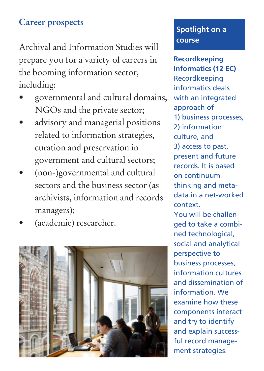# **Career prospects**

Archival and Information Studies will prepare you for a variety of careers in the booming information sector, including:

- governmental and cultural domains, NGOs and the private sector;
- advisory and managerial positions related to information strategies, curation and preservation in government and cultural sectors;
- (non-)governmental and cultural sectors and the business sector (as archivists, information and records managers);
- (academic) researcher.



## **Spotlight on a course**

**Recordkeeping Informatics (12 EC)** Recordkeeping informatics deals with an integrated approach of 1) business processes, 2) information culture, and 3) access to past, present and future records. It is based on continuum thinking and metadata in a net-worked context.

You will be challenged to take a combined technological, social and analytical perspective to business processes, information cultures and dissemination of information. We examine how these components interact and try to identify and explain successful record management strategies.